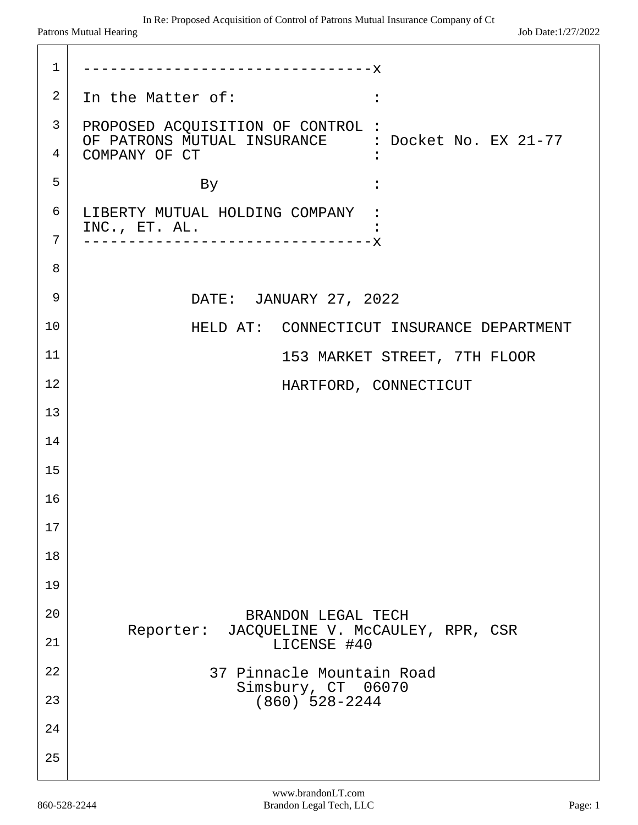| $\mathbf{1}$ | -------------------------------X                                   |
|--------------|--------------------------------------------------------------------|
| 2            | In the Matter of:                                                  |
| 3            | PROPOSED ACQUISITION OF CONTROL :                                  |
| 4            | OF PATRONS MUTUAL INSURANCE : Docket No. EX 21-77<br>COMPANY OF CT |
| 5            | By                                                                 |
| 6            | LIBERTY MUTUAL HOLDING COMPANY :<br>INC., ET. AL.                  |
| 7            | ----------------------------X                                      |
| 8            |                                                                    |
| 9            | DATE: JANUARY 27, 2022                                             |
| 10           | HELD AT: CONNECTICUT INSURANCE DEPARTMENT                          |
| 11           | 153 MARKET STREET, 7TH FLOOR                                       |
| 12           | HARTFORD, CONNECTICUT                                              |
| 13           |                                                                    |
| 14           |                                                                    |
| 15           |                                                                    |
| 16           |                                                                    |
| 17           |                                                                    |
| 18           |                                                                    |
| 19           |                                                                    |
| 20           | BRANDON LEGAL TECH<br>JACQUELINE V. MCCAULEY, RPR, CSR             |
| 21           | Reporter:<br>LICENSE #40                                           |
| 22           | 37 Pinnacle Mountain Road<br>Simsbury, CT 06070                    |
| 23           | $(860)$ 528-2244                                                   |
| 24           |                                                                    |
| 25           |                                                                    |
|              |                                                                    |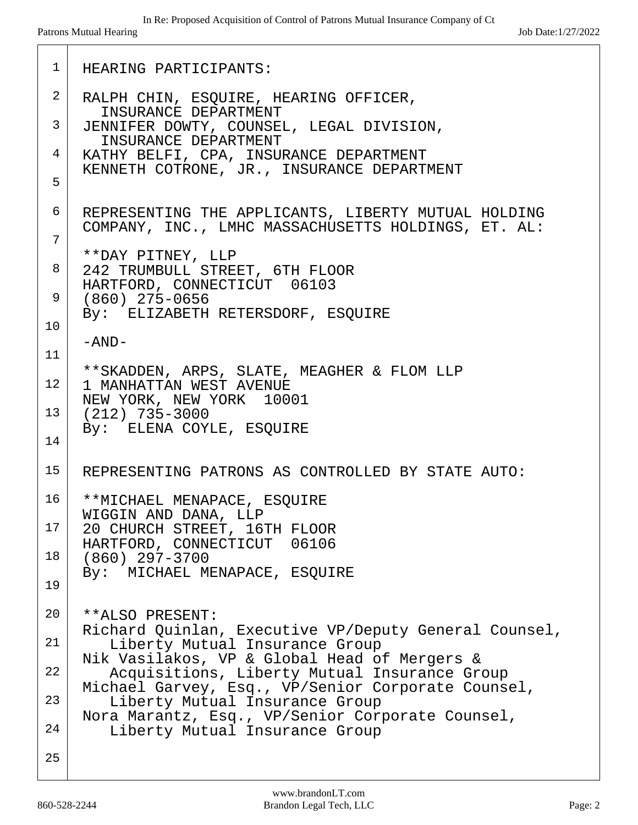```
 1 HEARING PARTICIPANTS:
 2 RALPH CHIN, ESQUIRE, HEARING OFFICER,
       INSURANCE DEPARTMENT
 3 JENNIFER DOWTY, COUNSEL, LEGAL DIVISION,
       INSURANCE DEPARTMENT
 4 KATHY BELFI, CPA, INSURANCE DEPARTMENT
    KENNETH COTRONE, JR., INSURANCE DEPARTMENT
 5
 6 REPRESENTING THE APPLICANTS, LIBERTY MUTUAL HOLDING
    COMPANY, INC., LMHC MASSACHUSETTS HOLDINGS, ET. AL:
 7
    **DAY PITNEY, LLP
 8 242 TRUMBULL STREET, 6TH FLOOR
    HARTFORD, CONNECTICUT 06103
 9 (860) 275-0656
    By: ELIZABETH RETERSDORF, ESQUIRE
10
    -AND-
11
    **SKADDEN, ARPS, SLATE, MEAGHER & FLOM LLP
12 1 MANHATTAN WEST AVENUE
    NEW YORK, NEW YORK 10001
13 (212) 735-3000
    By: ELENA COYLE, ESQUIRE
14
15 REPRESENTING PATRONS AS CONTROLLED BY STATE AUTO:
16 | **MICHAEL MENAPACE, ESQUIRE
    WIGGIN AND DANA, LLP
17 20 CHURCH STREET, 16TH FLOOR
    HARTFORD, CONNECTICUT 06106
18 (860) 297-3700
    By: MICHAEL MENAPACE, ESQUIRE
19
20 **ALSO PRESENT:
    Richard Quinlan, Executive VP/Deputy General Counsel,
21 Liberty Mutual Insurance Group
    Nik Vasilakos, VP & Global Head of Mergers &
22 | Acquisitions, Liberty Mutual Insurance Group
    Michael Garvey, Esq., VP/Senior Corporate Counsel,
23 | Liberty Mutual Insurance Group
    Nora Marantz, Esq., VP/Senior Corporate Counsel,
24 | Liberty Mutual Insurance Group
25
```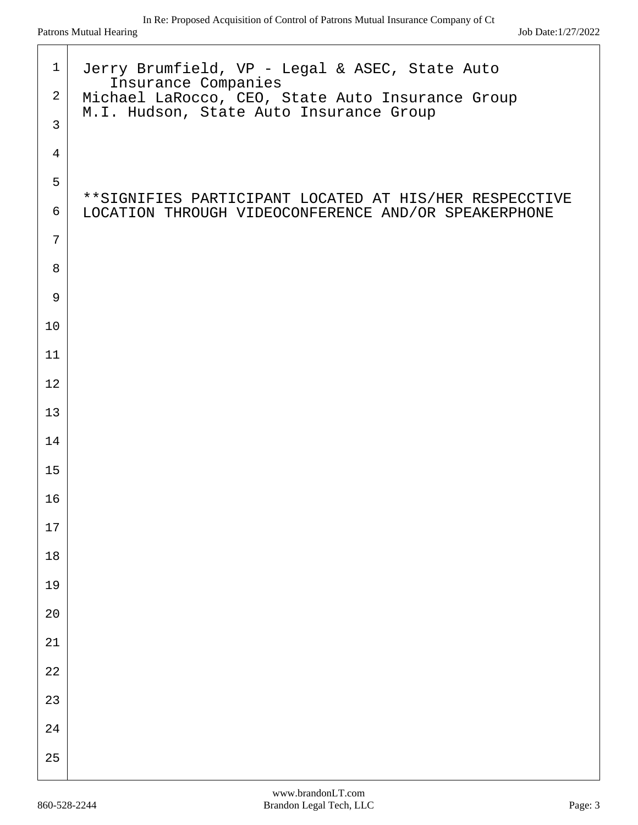| $\mathbf{1}$   | Jerry Brumfield, VP - Legal & ASEC, State Auto                                                                 |
|----------------|----------------------------------------------------------------------------------------------------------------|
| $\overline{a}$ | Insurance Companies<br>Michael LaRocco, CEO, State Auto Insurance Group                                        |
| $\mathbf{3}$   | M.I. Hudson, State Auto Insurance Group                                                                        |
| $\overline{4}$ |                                                                                                                |
| 5              |                                                                                                                |
| 6              | **SIGNIFIES PARTICIPANT LOCATED AT HIS/HER RESPECCTIVE<br>LOCATION THROUGH VIDEOCONFERENCE AND/OR SPEAKERPHONE |
| $\overline{7}$ |                                                                                                                |
| 8              |                                                                                                                |
| 9              |                                                                                                                |
| 10             |                                                                                                                |
| 11             |                                                                                                                |
| 12             |                                                                                                                |
| 13             |                                                                                                                |
| 14             |                                                                                                                |
| 15             |                                                                                                                |
| 16             |                                                                                                                |
| $17\,$         |                                                                                                                |
| $18\,$         |                                                                                                                |
| 19             |                                                                                                                |
| $20$           |                                                                                                                |
| $21\,$         |                                                                                                                |
| $2\sqrt{2}$    |                                                                                                                |
| 23             |                                                                                                                |
| $2\sqrt{4}$    |                                                                                                                |
| 25             |                                                                                                                |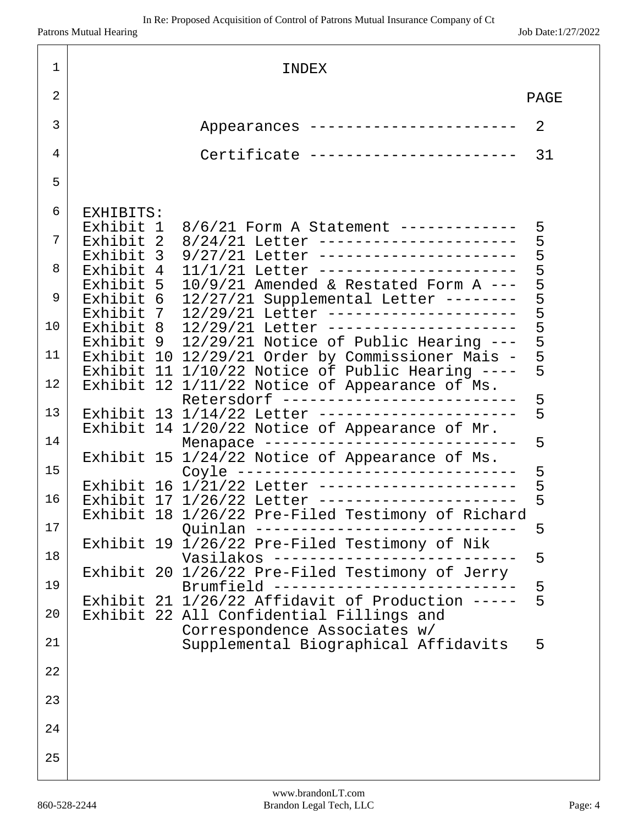| 1  |                                                    | INDEX                                                                                                  |        |
|----|----------------------------------------------------|--------------------------------------------------------------------------------------------------------|--------|
| 2  |                                                    |                                                                                                        | PAGE   |
| 3  |                                                    | Appearances ----------------------                                                                     | 2      |
| 4  |                                                    | Certificate -----------------------                                                                    | 31     |
| 5  |                                                    |                                                                                                        |        |
| 6  | EXHIBITS:                                          |                                                                                                        |        |
| 7  | Exhibit 1<br>Exhibit<br>$\overline{\phantom{a}}^2$ | 8/6/21 Form A Statement ------------<br>8/24/21 Letter ----------------------                          | 5      |
| 8  | Exhibit<br>$\overline{3}$<br>Exhibit<br>4          | _______________________<br>9/27/21<br>Letter<br>_______________________<br>$11/1/21$ Letter            | 5555   |
| 9  | Exhibit<br>5<br>Exhibit<br>6                       | $10/9/21$ Amended & Restated Form A ---<br>12/27/21 Supplemental Letter --------                       |        |
| 10 | Exhibit<br>- 7<br>Exhibit<br>- 8                   | 12/29/21 Letter ---------------------<br>12/29/21 Letter ---------------------                         | 55555  |
| 11 | Exhibit 9<br>Exhibit                               | 12/29/21 Notice of Public Hearing ---<br>10 12/29/21 Order by Commissioner Mais -                      |        |
| 12 | Exhibit                                            | 11 $1/10/22$ Notice of Public Hearing ----<br>Exhibit 12 1/11/22 Notice of Appearance of Ms.           | 5      |
| 13 |                                                    | Retersdorf -------------------------<br>Exhibit 13 1/14/22 Letter ---------------------                | 5<br>5 |
| 14 |                                                    | Exhibit 14 1/20/22 Notice of Appearance of Mr.<br>Menapace                                             | 5      |
| 15 | Exhibit 15                                         | 1/24/22 Notice of Appearance of Ms.<br>Coyle -------------------------------                           | 5      |
| 16 |                                                    | ----------------------<br>Exhibit 16 1/21/22 Letter<br>Exhibit 17 1/26/22 Letter --------------------- | 5<br>5 |
| 17 |                                                    | Exhibit 18 1/26/22 Pre-Filed Testimony of Richard<br>Ouinlan -                                         | 5      |
| 18 |                                                    | Exhibit 19 1/26/22 Pre-Filed Testimony of Nik<br>Vasilakos $---$                                       | 5      |
| 19 |                                                    | Exhibit 20 1/26/22 Pre-Filed Testimony of Jerry<br>Brumfield $---$                                     | 5      |
| 20 |                                                    | Exhibit 21 1/26/22 Affidavit of Production -----<br>Exhibit 22 All Confidential Fillings and           | 5      |
| 21 |                                                    | Correspondence Associates w/<br>Supplemental Biographical Affidavits                                   | 5      |
| 22 |                                                    |                                                                                                        |        |
| 23 |                                                    |                                                                                                        |        |
| 24 |                                                    |                                                                                                        |        |
| 25 |                                                    |                                                                                                        |        |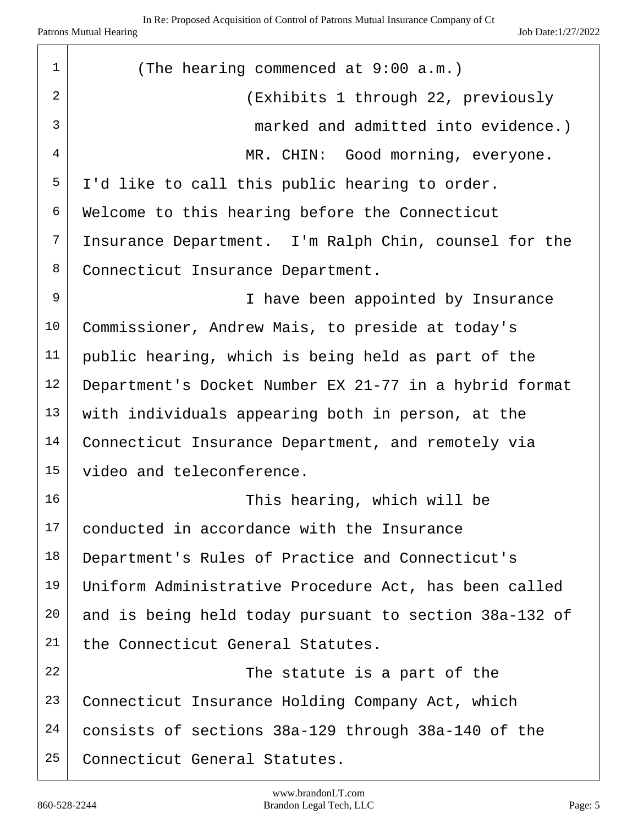| $\mathbf 1$    | (The hearing commenced at 9:00 a.m.)                   |
|----------------|--------------------------------------------------------|
| $\overline{2}$ | (Exhibits 1 through 22, previously                     |
| $\mathfrak{Z}$ | marked and admitted into evidence.)                    |
| 4              | MR. CHIN: Good morning, everyone.                      |
| 5              | I'd like to call this public hearing to order.         |
| 6              | Welcome to this hearing before the Connecticut         |
| 7              | Insurance Department. I'm Ralph Chin, counsel for the  |
| 8              | Connecticut Insurance Department.                      |
| 9              | I have been appointed by Insurance                     |
| 10             | Commissioner, Andrew Mais, to preside at today's       |
| 11             | public hearing, which is being held as part of the     |
| 12             | Department's Docket Number EX 21-77 in a hybrid format |
| 13             | with individuals appearing both in person, at the      |
| 14             | Connecticut Insurance Department, and remotely via     |
| 15             | video and teleconference.                              |
| 16             | This hearing, which will be                            |
| 17             | conducted in accordance with the Insurance             |
| 18             | Department's Rules of Practice and Connecticut's       |
| 19             | Uniform Administrative Procedure Act, has been called  |
| 20             | and is being held today pursuant to section 38a-132 of |
| 21             | the Connecticut General Statutes.                      |
| 22             | The statute is a part of the                           |
| 23             | Connecticut Insurance Holding Company Act, which       |
| 24             | consists of sections 38a-129 through 38a-140 of the    |
| 25             | Connecticut General Statutes.                          |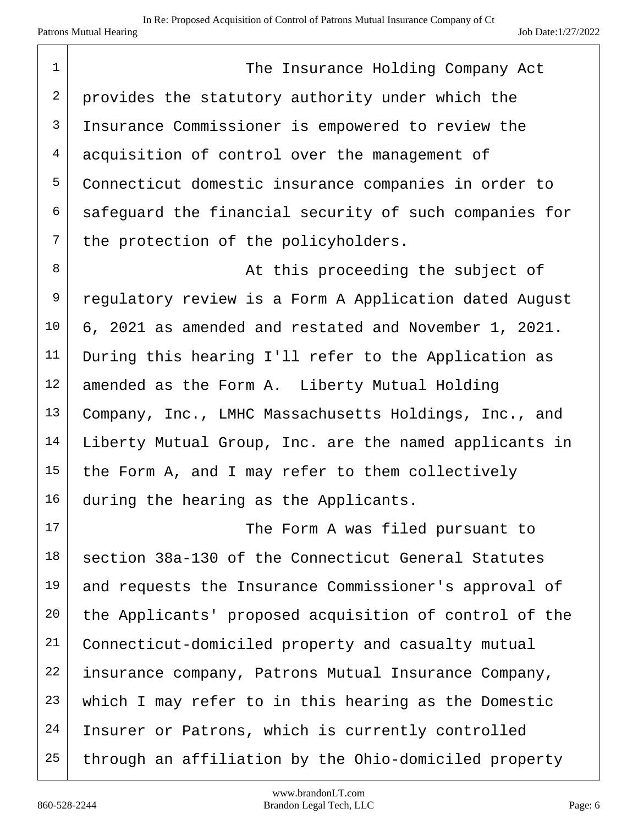1 The Insurance Holding Company Act 2 provides the statutory authority under which the 3 Insurance Commissioner is empowered to review the 4 acquisition of control over the management of 5 Connecticut domestic insurance companies in order to  $6$  safequard the financial security of such companies for  $7$  the protection of the policyholders. 8 at this proceeding the subject of 9 regulatory review is a Form A Application dated August 10 6, 2021 as amended and restated and November 1, 2021. 11 During this hearing I'll refer to the Application as  $12$  amended as the Form A. Liberty Mutual Holding 13 Company, Inc., LMHC Massachusetts Holdings, Inc., and 14 | Liberty Mutual Group, Inc. are the named applicants in  $15$  the Form A, and I may refer to them collectively 16 during the hearing as the Applicants. 17 | The Form A was filed pursuant to  $18$  section 38a-130 of the Connecticut General Statutes 19 and requests the Insurance Commissioner's approval of 20 the Applicants' proposed acquisition of control of the 21 Connecticut-domiciled property and casualty mutual 22 insurance company, Patrons Mutual Insurance Company, 23 which I may refer to in this hearing as the Domestic 24 Insurer or Patrons, which is currently controlled  $25$  through an affiliation by the Ohio-domiciled property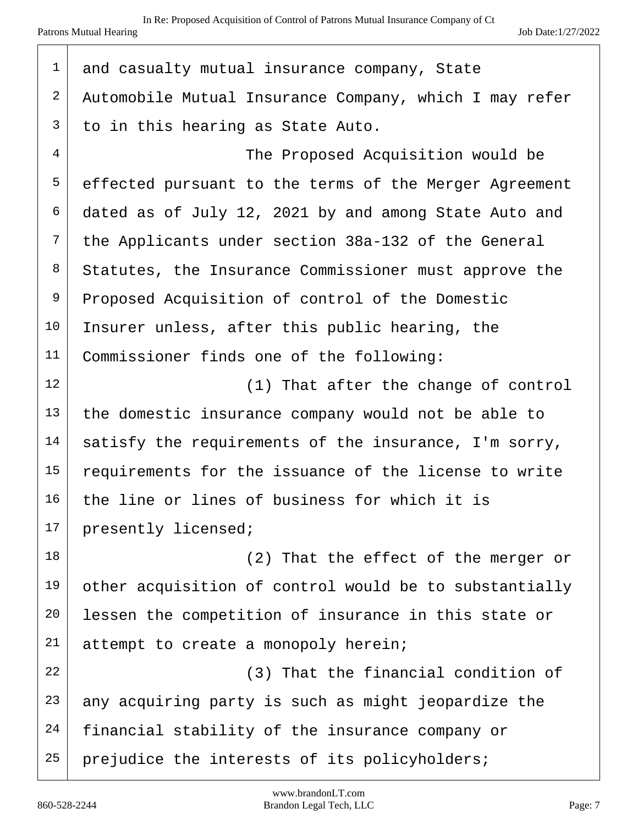| $\mathbf 1$    | and casualty mutual insurance company, State           |
|----------------|--------------------------------------------------------|
| $\overline{c}$ | Automobile Mutual Insurance Company, which I may refer |
| $\mathsf 3$    | to in this hearing as State Auto.                      |
| $\overline{4}$ | The Proposed Acquisition would be                      |
| 5              | effected pursuant to the terms of the Merger Agreement |
| 6              | dated as of July 12, 2021 by and among State Auto and  |
| 7              | the Applicants under section 38a-132 of the General    |
| 8              | Statutes, the Insurance Commissioner must approve the  |
| 9              | Proposed Acquisition of control of the Domestic        |
| 10             | Insurer unless, after this public hearing, the         |
| 11             | Commissioner finds one of the following:               |
| 12             | (1) That after the change of control                   |
| 13             | the domestic insurance company would not be able to    |
| 14             | satisfy the requirements of the insurance, I'm sorry,  |
| 15             | requirements for the issuance of the license to write  |
| 16             | the line or lines of business for which it is          |
| 17             | presently licensed;                                    |
| 18             | (2) That the effect of the merger or                   |
| 19             | other acquisition of control would be to substantially |
| 20             | lessen the competition of insurance in this state or   |
| 21             | attempt to create a monopoly herein;                   |
| 22             | (3) That the financial condition of                    |
| 23             | any acquiring party is such as might jeopardize the    |
| 24             | financial stability of the insurance company or        |
| 25             | prejudice the interests of its policyholders;          |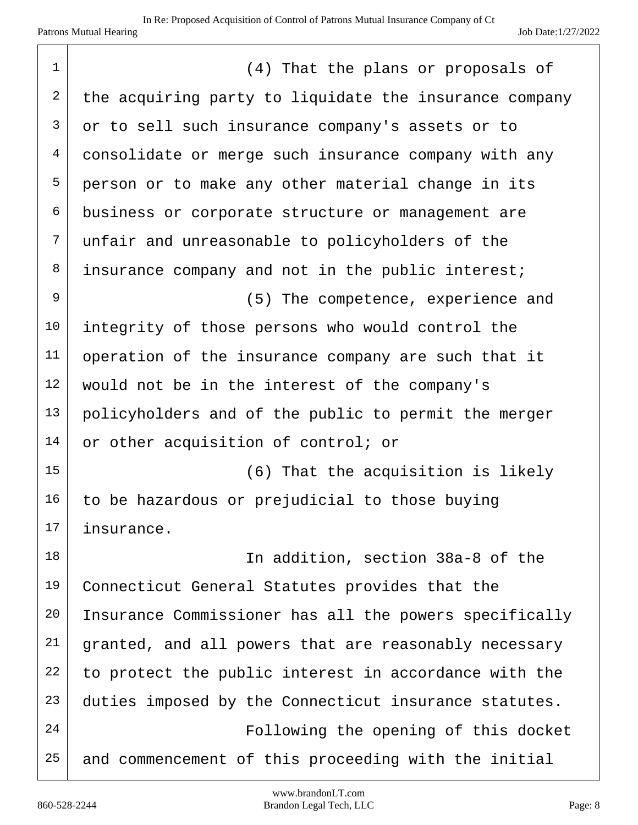| $\mathbf 1$    | (4) That the plans or proposals of                     |
|----------------|--------------------------------------------------------|
| $\overline{2}$ | the acquiring party to liquidate the insurance company |
| $\mathfrak{Z}$ | or to sell such insurance company's assets or to       |
| $\overline{4}$ | consolidate or merge such insurance company with any   |
| 5              | person or to make any other material change in its     |
| 6              | business or corporate structure or management are      |
| $\overline{7}$ |                                                        |
|                | unfair and unreasonable to policyholders of the        |
| 8              | insurance company and not in the public interest;      |
| $\mathsf 9$    | (5) The competence, experience and                     |
| 10             | integrity of those persons who would control the       |
| 11             | operation of the insurance company are such that it    |
| 12             | would not be in the interest of the company's          |
| 13             | policyholders and of the public to permit the merger   |
| 14             | or other acquisition of control; or                    |
| 15             | (6) That the acquisition is likely                     |
| 16             | to be hazardous or prejudicial to those buying         |
| 17             | insurance.                                             |
| 18             | In addition, section 38a-8 of the                      |
| 19             | Connecticut General Statutes provides that the         |
| 20             | Insurance Commissioner has all the powers specifically |
| 21             | granted, and all powers that are reasonably necessary  |
| 22             | to protect the public interest in accordance with the  |
| 23             | duties imposed by the Connecticut insurance statutes.  |
| 24             | Following the opening of this docket                   |
| 25             | and commencement of this proceeding with the initial   |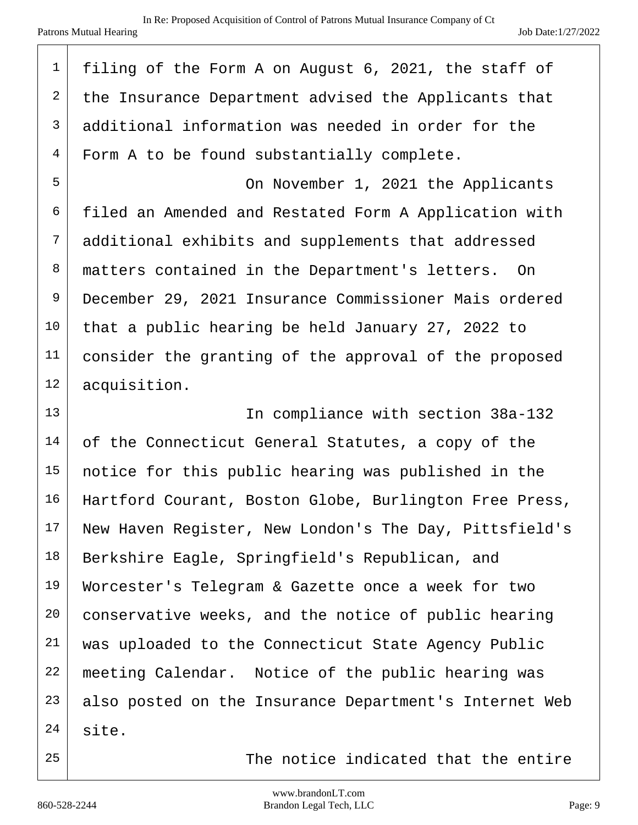| $\mathbf 1$    | filing of the Form A on August 6, 2021, the staff of   |
|----------------|--------------------------------------------------------|
| $\overline{a}$ | the Insurance Department advised the Applicants that   |
| $\mathsf{3}$   | additional information was needed in order for the     |
| $\overline{4}$ | Form A to be found substantially complete.             |
| 5              | On November 1, 2021 the Applicants                     |
| 6              | filed an Amended and Restated Form A Application with  |
| 7              | additional exhibits and supplements that addressed     |
| 8              | matters contained in the Department's letters. On      |
| 9              | December 29, 2021 Insurance Commissioner Mais ordered  |
| 10             | that a public hearing be held January 27, 2022 to      |
| 11             | consider the granting of the approval of the proposed  |
| 12             | acquisition.                                           |
| 13             | In compliance with section 38a-132                     |
| 14             | of the Connecticut General Statutes, a copy of the     |
| 15             | notice for this public hearing was published in the    |
| 16             | Hartford Courant, Boston Globe, Burlington Free Press, |
| 17             | New Haven Register, New London's The Day, Pittsfield's |
| 18             | Berkshire Eagle, Springfield's Republican, and         |
| 19             | Worcester's Telegram & Gazette once a week for two     |
| 20             | conservative weeks, and the notice of public hearing   |
| 21             | was uploaded to the Connecticut State Agency Public    |
| 22             | meeting Calendar. Notice of the public hearing was     |
| 23             | also posted on the Insurance Department's Internet Web |
| 24             | site.                                                  |
| 25             | The notice indicated that the entire                   |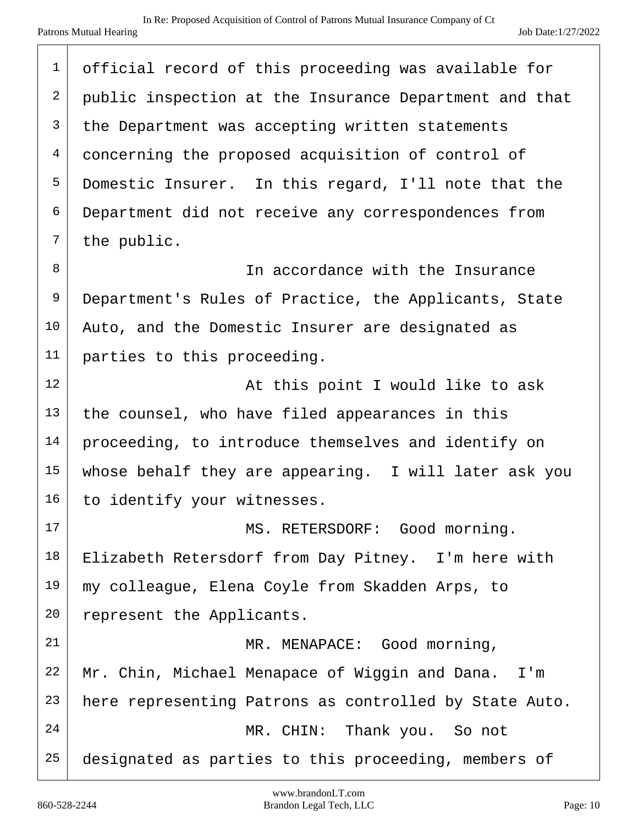| $\mathbf 1$ | official record of this proceeding was available for   |
|-------------|--------------------------------------------------------|
| 2           | public inspection at the Insurance Department and that |
| 3           | the Department was accepting written statements        |
| 4           | concerning the proposed acquisition of control of      |
| 5           | Domestic Insurer. In this regard, I'll note that the   |
| 6           | Department did not receive any correspondences from    |
| 7           | the public.                                            |
| 8           | In accordance with the Insurance                       |
| 9           | Department's Rules of Practice, the Applicants, State  |
| 10          | Auto, and the Domestic Insurer are designated as       |
| 11          | parties to this proceeding.                            |
| 12          | At this point I would like to ask                      |
| 13          | the counsel, who have filed appearances in this        |
| 14          | proceeding, to introduce themselves and identify on    |
| 15          | whose behalf they are appearing. I will later ask you  |
| 16          | to identify your witnesses.                            |
| 17          | MS. RETERSDORF: Good morning.                          |
| 18          | Elizabeth Retersdorf from Day Pitney. I'm here with    |
| 19          | my colleague, Elena Coyle from Skadden Arps, to        |
| 20          | represent the Applicants.                              |
| 21          | MR. MENAPACE: Good morning,                            |
| 22          | Mr. Chin, Michael Menapace of Wiggin and Dana. I'm     |
| 23          | here representing Patrons as controlled by State Auto. |
| 24          | MR. CHIN: Thank you. So not                            |
| 25          | designated as parties to this proceeding, members of   |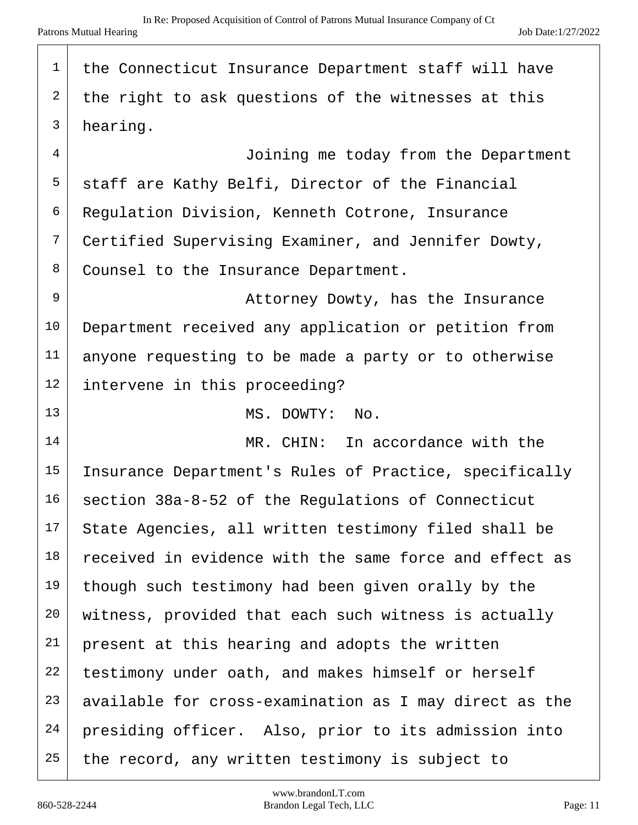| $\mathbf 1$ | the Connecticut Insurance Department staff will have   |
|-------------|--------------------------------------------------------|
| 2           | the right to ask questions of the witnesses at this    |
| 3           | hearing.                                               |
| 4           | Joining me today from the Department                   |
| 5           | staff are Kathy Belfi, Director of the Financial       |
| 6           | Regulation Division, Kenneth Cotrone, Insurance        |
| 7           | Certified Supervising Examiner, and Jennifer Dowty,    |
| 8           | Counsel to the Insurance Department.                   |
| 9           | Attorney Dowty, has the Insurance                      |
| 10          | Department received any application or petition from   |
| 11          | anyone requesting to be made a party or to otherwise   |
| 12          | intervene in this proceeding?                          |
| 13          | MS. DOWTY: No.                                         |
| 14          | MR. CHIN: In accordance with the                       |
| 15          | Insurance Department's Rules of Practice, specifically |
| 16          | section 38a-8-52 of the Regulations of Connecticut     |
| 17          | State Agencies, all written testimony filed shall be   |
| 18          | received in evidence with the same force and effect as |
| 19          | though such testimony had been given orally by the     |
| 20          | witness, provided that each such witness is actually   |
| 21          | present at this hearing and adopts the written         |
| 22          | testimony under oath, and makes himself or herself     |
| 23          | available for cross-examination as I may direct as the |
| 24          | presiding officer. Also, prior to its admission into   |
| 25          | the record, any written testimony is subject to        |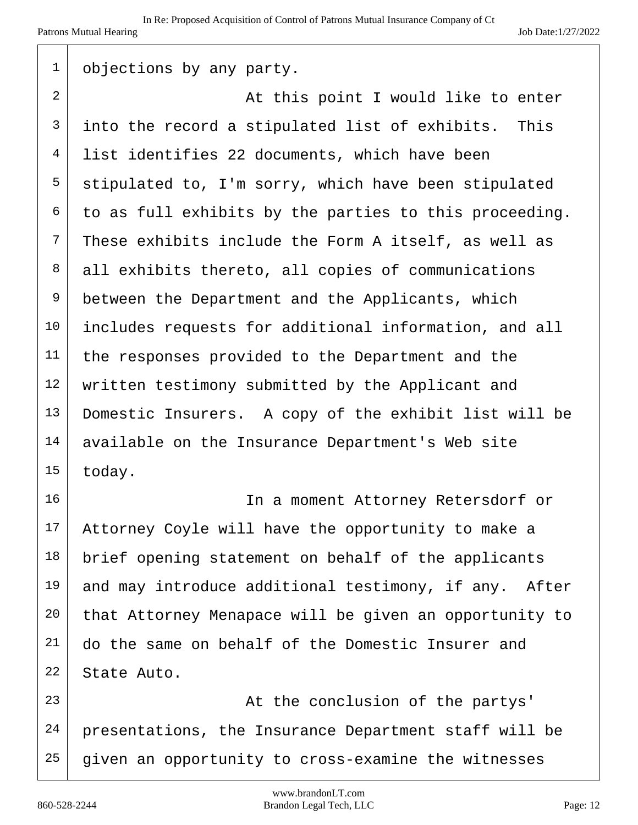| $\mathbf 1$    | objections by any party.                               |
|----------------|--------------------------------------------------------|
| $\overline{a}$ | At this point I would like to enter                    |
| 3              | into the record a stipulated list of exhibits. This    |
| 4              | list identifies 22 documents, which have been          |
| 5              | stipulated to, I'm sorry, which have been stipulated   |
| 6              | to as full exhibits by the parties to this proceeding. |
| 7              | These exhibits include the Form A itself, as well as   |
| 8              | all exhibits thereto, all copies of communications     |
| 9              | between the Department and the Applicants, which       |
| 10             | includes requests for additional information, and all  |
| 11             | the responses provided to the Department and the       |
| 12             | written testimony submitted by the Applicant and       |
| 13             | Domestic Insurers. A copy of the exhibit list will be  |
| 14             | available on the Insurance Department's Web site       |
| 15             | today.                                                 |
| 16             | In a moment Attorney Retersdorf or                     |
| 17             | Attorney Coyle will have the opportunity to make a     |
| $18\,$         | brief opening statement on behalf of the applicants    |
| 19             | and may introduce additional testimony, if any. After  |
| 20             | that Attorney Menapace will be given an opportunity to |
| 21             | do the same on behalf of the Domestic Insurer and      |
| 22             | State Auto.                                            |
| 23             | At the conclusion of the partys'                       |
| 24             | presentations, the Insurance Department staff will be  |
| 25             | given an opportunity to cross-examine the witnesses    |

T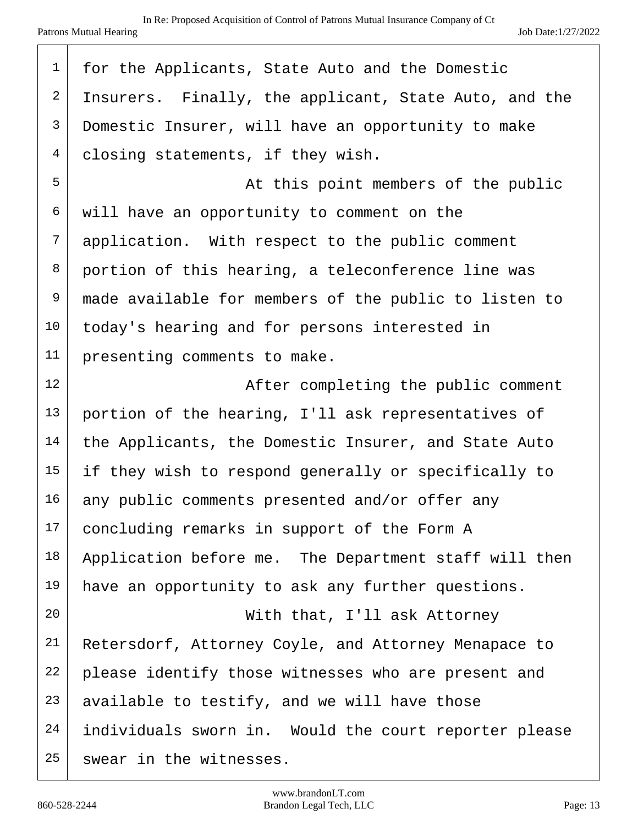| $\mathbf 1$    | for the Applicants, State Auto and the Domestic       |
|----------------|-------------------------------------------------------|
| $\overline{2}$ | Insurers. Finally, the applicant, State Auto, and the |
| 3              | Domestic Insurer, will have an opportunity to make    |
| 4              | closing statements, if they wish.                     |
| 5              | At this point members of the public                   |
| 6              | will have an opportunity to comment on the            |
| 7              | application. With respect to the public comment       |
| 8              | portion of this hearing, a teleconference line was    |
| 9              | made available for members of the public to listen to |
| 10             | today's hearing and for persons interested in         |
| 11             | presenting comments to make.                          |
| 12             | After completing the public comment                   |
| 13             | portion of the hearing, I'll ask representatives of   |
| 14             | the Applicants, the Domestic Insurer, and State Auto  |
| 15             | if they wish to respond generally or specifically to  |
| 16             | any public comments presented and/or offer any        |
| 17             | concluding remarks in support of the Form A           |
| 18             | Application before me. The Department staff will then |
| 19             | have an opportunity to ask any further questions.     |
| 20             | With that, I'll ask Attorney                          |
| 21             | Retersdorf, Attorney Coyle, and Attorney Menapace to  |
| 22             | please identify those witnesses who are present and   |
| 23             | available to testify, and we will have those          |
| 24             | individuals sworn in. Would the court reporter please |
| 25             | swear in the witnesses.                               |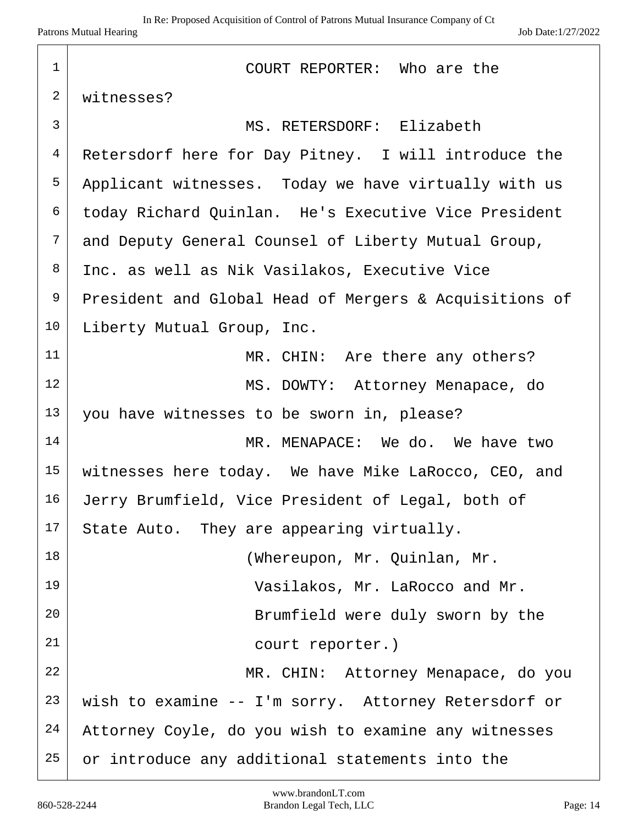| $\mathbf 1$    | COURT REPORTER: Who are the                            |
|----------------|--------------------------------------------------------|
| $\mathbf{2}$   | witnesses?                                             |
| 3              | MS. RETERSDORF: Elizabeth                              |
| $\overline{4}$ | Retersdorf here for Day Pitney. I will introduce the   |
| 5              | Applicant witnesses. Today we have virtually with us   |
| 6              | today Richard Quinlan. He's Executive Vice President   |
| $7\phantom{.}$ | and Deputy General Counsel of Liberty Mutual Group,    |
| 8              | Inc. as well as Nik Vasilakos, Executive Vice          |
| 9              | President and Global Head of Mergers & Acquisitions of |
| 10             | Liberty Mutual Group, Inc.                             |
| 11             | MR. CHIN: Are there any others?                        |
| 12             | MS. DOWTY: Attorney Menapace, do                       |
| 13             | you have witnesses to be sworn in, please?             |
| 14             | MR. MENAPACE: We do. We have two                       |
| 15             | witnesses here today. We have Mike LaRocco, CEO, and   |
| 16             | Jerry Brumfield, Vice President of Legal, both of      |
| 17             | State Auto. They are appearing virtually.              |
| 18             | (Whereupon, Mr. Quinlan, Mr.                           |
| 19             | Vasilakos, Mr. LaRocco and Mr.                         |
| 20             | Brumfield were duly sworn by the                       |
| 21             | court reporter.)                                       |
| 22             | MR. CHIN: Attorney Menapace, do you                    |
| 23             | wish to examine -- I'm sorry. Attorney Retersdorf or   |
| 24             | Attorney Coyle, do you wish to examine any witnesses   |
| 25             | or introduce any additional statements into the        |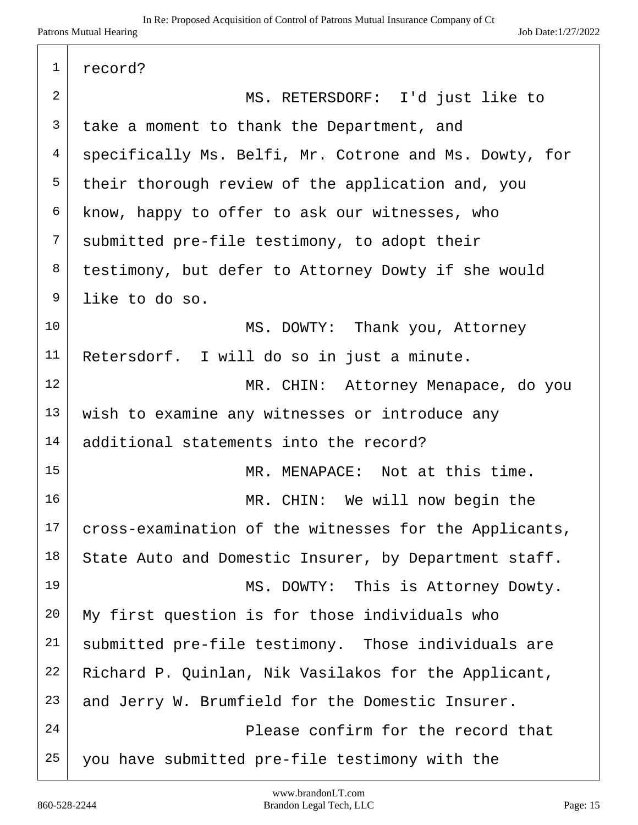| 1  | record?                                                |
|----|--------------------------------------------------------|
| 2  | MS. RETERSDORF: I'd just like to                       |
| 3  | take a moment to thank the Department, and             |
| 4  | specifically Ms. Belfi, Mr. Cotrone and Ms. Dowty, for |
| 5  | their thorough review of the application and, you      |
| 6  | know, happy to offer to ask our witnesses, who         |
| 7  | submitted pre-file testimony, to adopt their           |
| 8  | testimony, but defer to Attorney Dowty if she would    |
| 9  | like to do so.                                         |
| 10 | MS. DOWTY: Thank you, Attorney                         |
| 11 | Retersdorf. I will do so in just a minute.             |
| 12 | MR. CHIN: Attorney Menapace, do you                    |
| 13 | wish to examine any witnesses or introduce any         |
| 14 | additional statements into the record?                 |
| 15 | MR. MENAPACE: Not at this time.                        |
| 16 | MR. CHIN: We will now begin the                        |
| 17 | cross-examination of the witnesses for the Applicants, |
| 18 | State Auto and Domestic Insurer, by Department staff.  |
| 19 | MS. DOWTY: This is Attorney Dowty.                     |
| 20 | My first question is for those individuals who         |
| 21 | submitted pre-file testimony. Those individuals are    |
| 22 | Richard P. Quinlan, Nik Vasilakos for the Applicant,   |
| 23 | and Jerry W. Brumfield for the Domestic Insurer.       |
| 24 | Please confirm for the record that                     |
| 25 | you have submitted pre-file testimony with the         |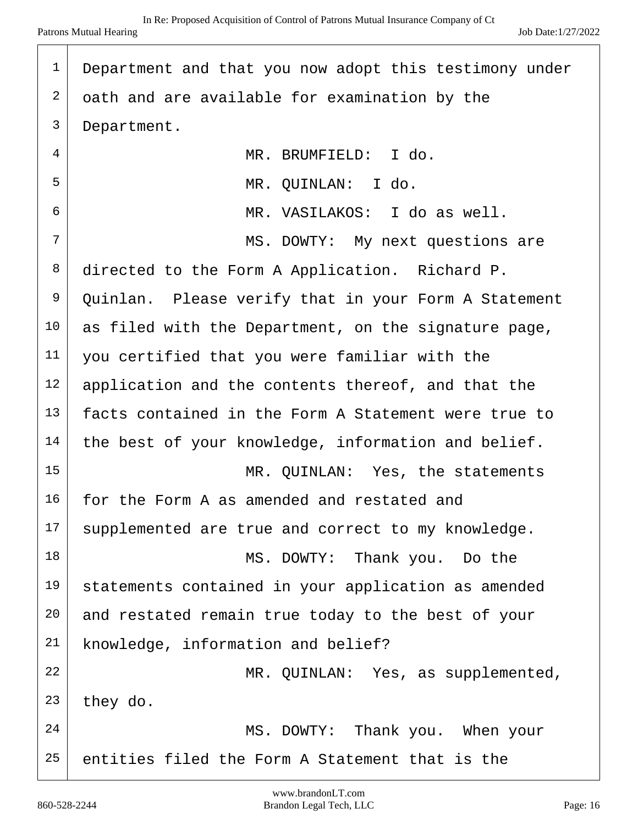| 1  | Department and that you now adopt this testimony under |
|----|--------------------------------------------------------|
| 2  | oath and are available for examination by the          |
| 3  | Department.                                            |
| 4  | MR. BRUMFIELD: I do.                                   |
| 5  | MR. QUINLAN: I do.                                     |
| 6  | MR. VASILAKOS: I do as well.                           |
| 7  | MS. DOWTY: My next questions are                       |
| 8  | directed to the Form A Application. Richard P.         |
| 9  | Quinlan. Please verify that in your Form A Statement   |
| 10 | as filed with the Department, on the signature page,   |
| 11 | you certified that you were familiar with the          |
| 12 | application and the contents thereof, and that the     |
| 13 | facts contained in the Form A Statement were true to   |
| 14 | the best of your knowledge, information and belief.    |
| 15 | MR. QUINLAN: Yes, the statements                       |
| 16 | for the Form A as amended and restated and             |
| 17 | supplemented are true and correct to my knowledge.     |
| 18 | MS. DOWTY: Thank you. Do the                           |
| 19 | statements contained in your application as amended    |
| 20 | and restated remain true today to the best of your     |
| 21 | knowledge, information and belief?                     |
| 22 | MR. QUINLAN: Yes, as supplemented,                     |
| 23 | they do.                                               |
| 24 | MS. DOWTY: Thank you. When your                        |
| 25 | entities filed the Form A Statement that is the        |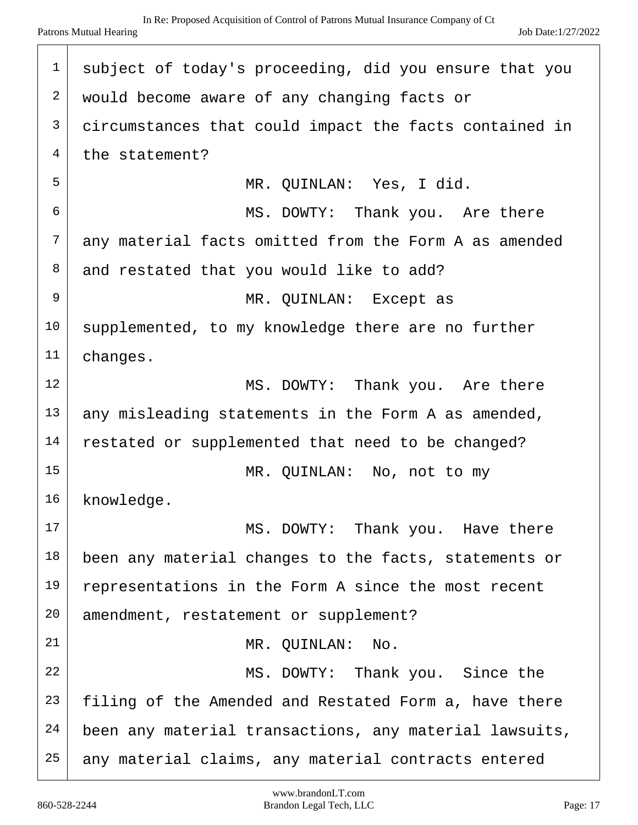| $\mathbf 1$    | subject of today's proceeding, did you ensure that you |
|----------------|--------------------------------------------------------|
| 2              | would become aware of any changing facts or            |
| 3              | circumstances that could impact the facts contained in |
| $\overline{4}$ | the statement?                                         |
| 5              | MR. OUINLAN: Yes, I did.                               |
| 6              | MS. DOWTY: Thank you. Are there                        |
| 7              | any material facts omitted from the Form A as amended  |
| 8              | and restated that you would like to add?               |
| 9              | MR. QUINLAN: Except as                                 |
| 10             | supplemented, to my knowledge there are no further     |
| 11             | changes.                                               |
| 12             | MS. DOWTY: Thank you. Are there                        |
| 13             | any misleading statements in the Form A as amended,    |
| 14             | restated or supplemented that need to be changed?      |
| 15             | MR. OUINLAN: No, not to my                             |
| 16             | knowledge.                                             |
| 17             | MS. DOWTY: Thank you. Have there                       |
| 18             | been any material changes to the facts, statements or  |
| 19             | representations in the Form A since the most recent    |
| 20             | amendment, restatement or supplement?                  |
| 21             | MR. QUINLAN: No.                                       |
| 22             | MS. DOWTY: Thank you. Since the                        |
| 23             | filing of the Amended and Restated Form a, have there  |
| 24             | been any material transactions, any material lawsuits, |
| 25             | any material claims, any material contracts entered    |
|                |                                                        |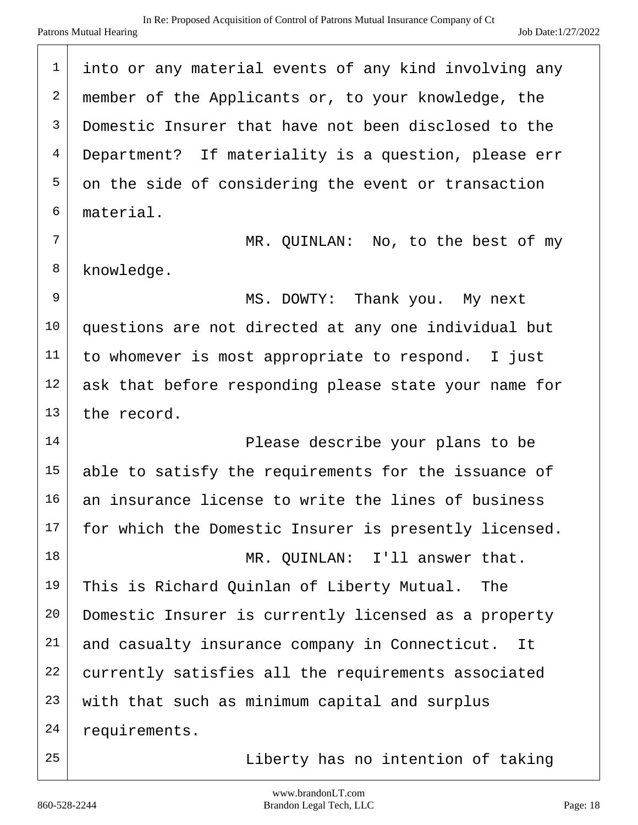| $\mathbf 1$    | into or any material events of any kind involving any |
|----------------|-------------------------------------------------------|
| $\sqrt{2}$     | member of the Applicants or, to your knowledge, the   |
| 3              | Domestic Insurer that have not been disclosed to the  |
| $\overline{4}$ | Department? If materiality is a question, please err  |
| 5              | on the side of considering the event or transaction   |
| 6              | material.                                             |
| 7              | MR. QUINLAN: No, to the best of my                    |
| 8              | knowledge.                                            |
| $\mathsf 9$    | Thank you. My next<br>MS. DOWTY:                      |
| 10             | questions are not directed at any one individual but  |
| 11             | to whomever is most appropriate to respond. I just    |
| 12             | ask that before responding please state your name for |
| 13             | the record.                                           |
| 14             | Please describe your plans to be                      |
| 15             | able to satisfy the requirements for the issuance of  |
| 16             | an insurance license to write the lines of business   |
| 17             | for which the Domestic Insurer is presently licensed. |
| 18             | MR. QUINLAN: I'll answer that.                        |
| 19             | This is Richard Quinlan of Liberty Mutual.<br>The     |
| 20             | Domestic Insurer is currently licensed as a property  |
| 21             | and casualty insurance company in Connecticut. It     |
| 22             | currently satisfies all the requirements associated   |
| 23             | with that such as minimum capital and surplus         |
| 24             | requirements.                                         |
| 25             | Liberty has no intention of taking                    |

T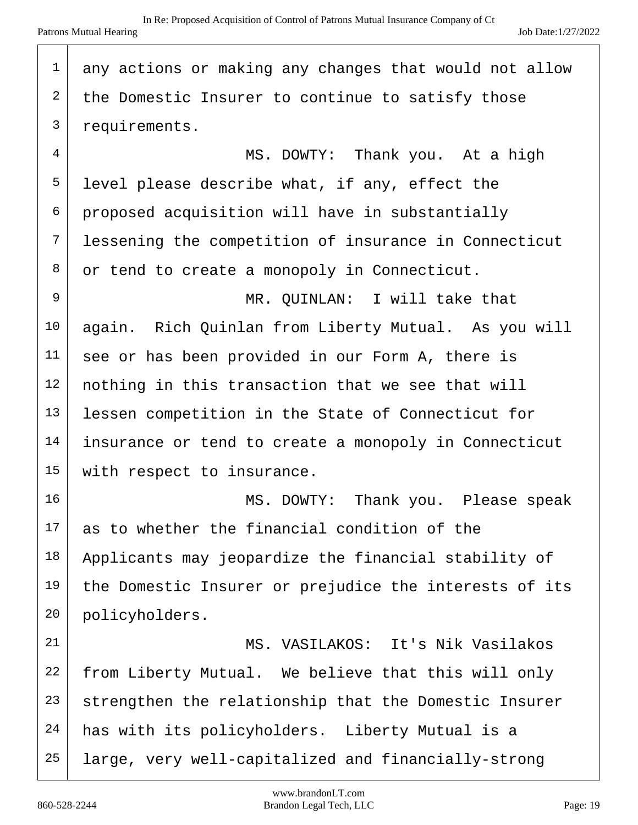| $\mathbf 1$    | any actions or making any changes that would not allow |
|----------------|--------------------------------------------------------|
| 2              | the Domestic Insurer to continue to satisfy those      |
| $\overline{3}$ | requirements.                                          |
| 4              | MS. DOWTY: Thank you. At a high                        |
| 5              | level please describe what, if any, effect the         |
| 6              | proposed acquisition will have in substantially        |
| 7              | lessening the competition of insurance in Connecticut  |
| 8              | or tend to create a monopoly in Connecticut.           |
| 9              | MR. QUINLAN: I will take that                          |
| 10             | again. Rich Quinlan from Liberty Mutual. As you will   |
| 11             | see or has been provided in our Form A, there is       |
| 12             | nothing in this transaction that we see that will      |
| 13             | lessen competition in the State of Connecticut for     |
| 14             | insurance or tend to create a monopoly in Connecticut  |
| 15             | with respect to insurance.                             |
| 16             | MS. DOWTY: Thank you. Please speak                     |
| 17             | as to whether the financial condition of the           |
| $18\,$         | Applicants may jeopardize the financial stability of   |
| 19             | the Domestic Insurer or prejudice the interests of its |
| 20             | policyholders.                                         |
| 21             | MS. VASILAKOS: It's Nik Vasilakos                      |
| 22             | from Liberty Mutual. We believe that this will only    |
| 23             | strengthen the relationship that the Domestic Insurer  |
| 24             | has with its policyholders. Liberty Mutual is a        |
| 25             | large, very well-capitalized and financially-strong    |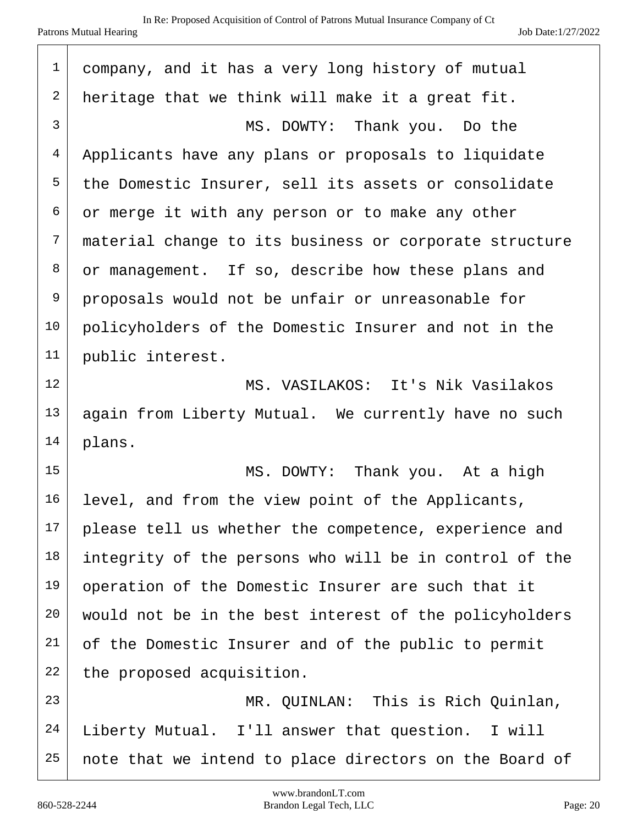| $\mathbf 1$  | company, and it has a very long history of mutual      |
|--------------|--------------------------------------------------------|
| $\sqrt{2}$   | heritage that we think will make it a great fit.       |
| $\mathsf{3}$ | MS. DOWTY: Thank you. Do the                           |
| 4            | Applicants have any plans or proposals to liquidate    |
| 5            | the Domestic Insurer, sell its assets or consolidate   |
| 6            | or merge it with any person or to make any other       |
| 7            | material change to its business or corporate structure |
| 8            | or management. If so, describe how these plans and     |
| 9            | proposals would not be unfair or unreasonable for      |
| 10           | policyholders of the Domestic Insurer and not in the   |
| 11           | public interest.                                       |
| 12           | MS. VASILAKOS: It's Nik Vasilakos                      |
| 13           | again from Liberty Mutual. We currently have no such   |
| 14           | plans.                                                 |
| 15           | MS. DOWTY: Thank you. At a high                        |
| 16           | level, and from the view point of the Applicants,      |
| 17           | please tell us whether the competence, experience and  |
| 18           | integrity of the persons who will be in control of the |
| 19           | operation of the Domestic Insurer are such that it     |
| 20           | would not be in the best interest of the policyholders |
| 21           | of the Domestic Insurer and of the public to permit    |
| 22           | the proposed acquisition.                              |
| 23           | MR. QUINLAN: This is Rich Quinlan,                     |
| 24           | Liberty Mutual. I'll answer that question. I will      |
| 25           | note that we intend to place directors on the Board of |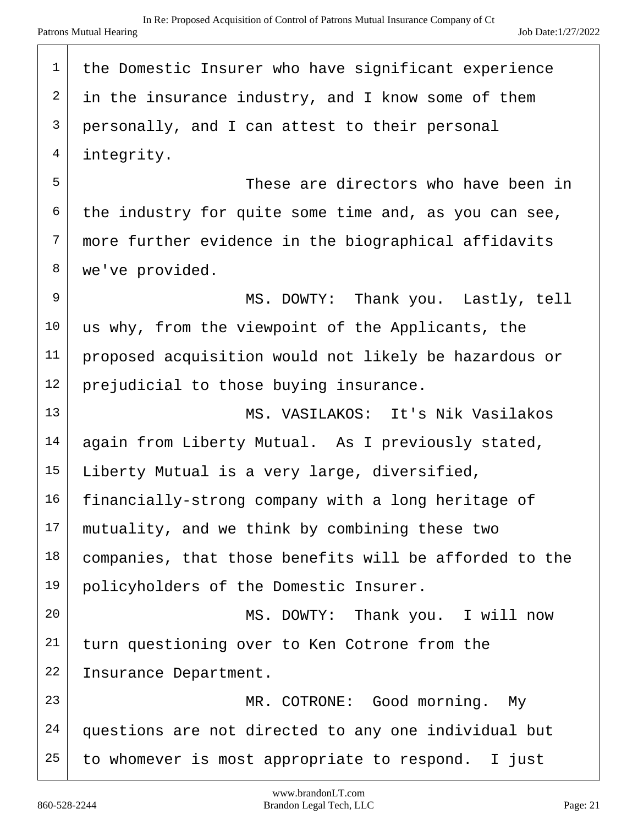| $\mathbf 1$  | the Domestic Insurer who have significant experience   |
|--------------|--------------------------------------------------------|
| 2            | in the insurance industry, and I know some of them     |
| $\mathsf{3}$ | personally, and I can attest to their personal         |
| 4            | integrity.                                             |
| 5            | These are directors who have been in                   |
| 6            | the industry for quite some time and, as you can see,  |
| 7            | more further evidence in the biographical affidavits   |
| 8            | we've provided.                                        |
| 9            | MS. DOWTY: Thank you. Lastly, tell                     |
| 10           | us why, from the viewpoint of the Applicants, the      |
| 11           | proposed acquisition would not likely be hazardous or  |
| 12           | prejudicial to those buying insurance.                 |
| 13           | MS. VASILAKOS: It's Nik Vasilakos                      |
| 14           | again from Liberty Mutual. As I previously stated,     |
| 15           | Liberty Mutual is a very large, diversified,           |
| 16           | financially-strong company with a long heritage of     |
| 17           | mutuality, and we think by combining these two         |
| 18           | companies, that those benefits will be afforded to the |
| 19           | policyholders of the Domestic Insurer.                 |
| 20           | MS. DOWTY: Thank you. I will now                       |
| 21           | turn questioning over to Ken Cotrone from the          |
| 22           | Insurance Department.                                  |
| 23           | MR. COTRONE: Good morning. My                          |
| 24           | questions are not directed to any one individual but   |
| 25           | to whomever is most appropriate to respond. I just     |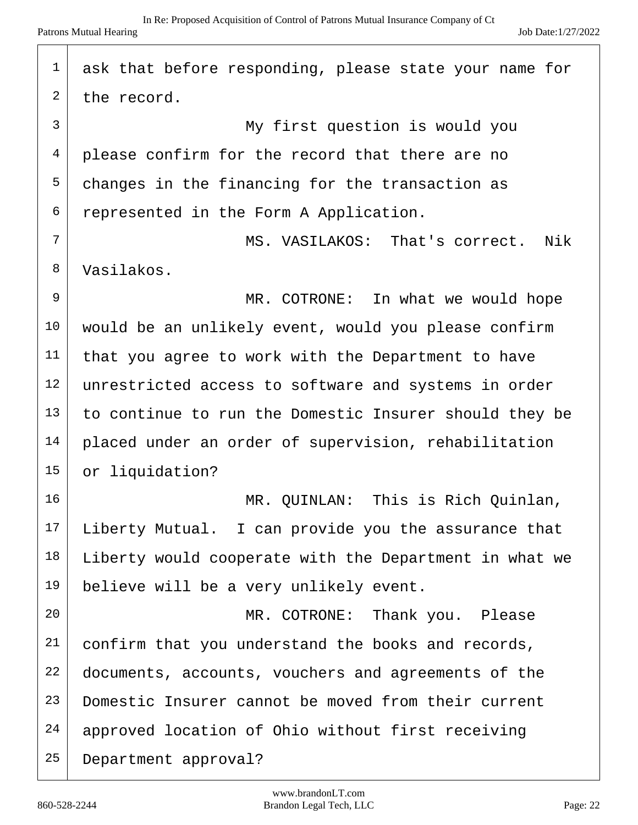| 1  | ask that before responding, please state your name for |
|----|--------------------------------------------------------|
| 2  | the record.                                            |
| 3  | My first question is would you                         |
| 4  | please confirm for the record that there are no        |
| 5  | changes in the financing for the transaction as        |
| 6  | represented in the Form A Application.                 |
| 7  | MS. VASILAKOS: That's correct.<br>Nik                  |
| 8  | Vasilakos.                                             |
| 9  | MR. COTRONE: In what we would hope                     |
| 10 | would be an unlikely event, would you please confirm   |
| 11 | that you agree to work with the Department to have     |
| 12 | unrestricted access to software and systems in order   |
| 13 | to continue to run the Domestic Insurer should they be |
| 14 | placed under an order of supervision, rehabilitation   |
| 15 | or liquidation?                                        |
| 16 | MR. QUINLAN: This is Rich Quinlan,                     |
| 17 | Liberty Mutual. I can provide you the assurance that   |
| 18 | Liberty would cooperate with the Department in what we |
| 19 | believe will be a very unlikely event.                 |
| 20 | MR. COTRONE: Thank you. Please                         |
| 21 | confirm that you understand the books and records,     |
| 22 | documents, accounts, vouchers and agreements of the    |
| 23 | Domestic Insurer cannot be moved from their current    |
| 24 | approved location of Ohio without first receiving      |
| 25 | Department approval?                                   |

 $\sqrt{ }$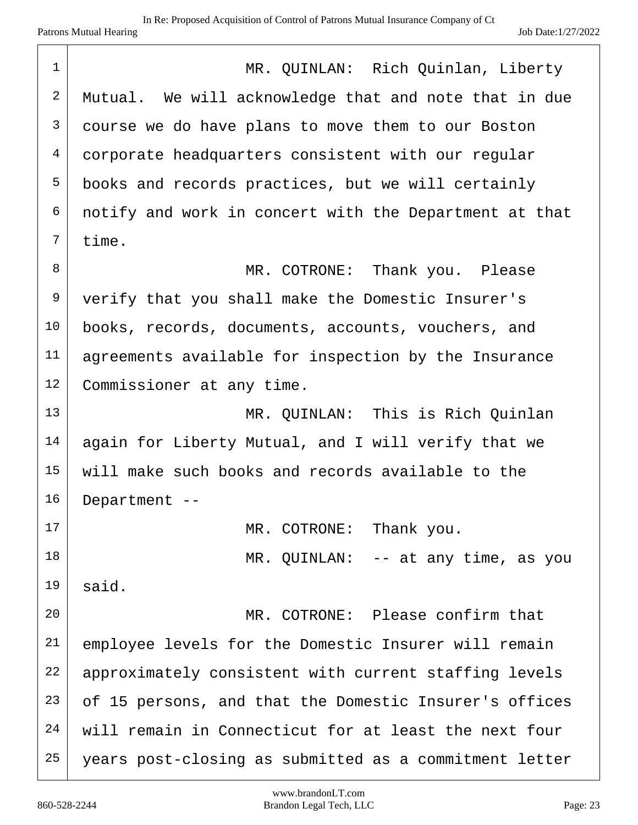| $\mathbf 1$  | MR. QUINLAN: Rich Quinlan, Liberty                     |
|--------------|--------------------------------------------------------|
| $\sqrt{2}$   | Mutual. We will acknowledge that and note that in due  |
| $\mathsf{3}$ | course we do have plans to move them to our Boston     |
| 4            | corporate headquarters consistent with our regular     |
| 5            | books and records practices, but we will certainly     |
| 6            | notify and work in concert with the Department at that |
| 7            | time.                                                  |
| $\,8\,$      | MR. COTRONE:<br>Thank you. Please                      |
| 9            | verify that you shall make the Domestic Insurer's      |
| 10           | books, records, documents, accounts, vouchers, and     |
| 11           | agreements available for inspection by the Insurance   |
| 12           | Commissioner at any time.                              |
| 13           | MR. QUINLAN: This is Rich Quinlan                      |
| 14           | again for Liberty Mutual, and I will verify that we    |
| 15           | will make such books and records available to the      |
| 16           | Department --                                          |
| 17           | MR. COTRONE: Thank you.                                |
| 18           | MR. QUINLAN: $-$ at any time, as you                   |
| 19           | said.                                                  |
| 20           | MR. COTRONE: Please confirm that                       |
| 21           | employee levels for the Domestic Insurer will remain   |
| 22           | approximately consistent with current staffing levels  |
| 23           | of 15 persons, and that the Domestic Insurer's offices |
| 24           | will remain in Connecticut for at least the next four  |
| 25           | years post-closing as submitted as a commitment letter |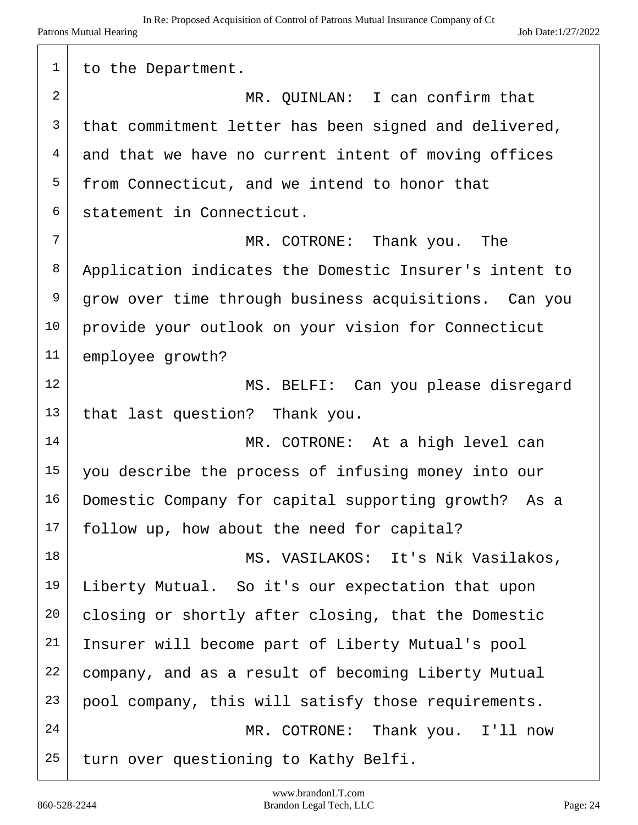| 1              | to the Department.                                      |
|----------------|---------------------------------------------------------|
| $\overline{2}$ | MR. QUINLAN: I can confirm that                         |
| $\mathsf{3}$   | that commitment letter has been signed and delivered,   |
| 4              | and that we have no current intent of moving offices    |
| 5              | from Connecticut, and we intend to honor that           |
| 6              | statement in Connecticut.                               |
| 7              | MR. COTRONE: Thank you.<br>The                          |
| 8              | Application indicates the Domestic Insurer's intent to  |
| 9              | grow over time through business acquisitions. Can you   |
| 10             | provide your outlook on your vision for Connecticut     |
| 11             | employee growth?                                        |
| 12             | MS. BELFI: Can you please disregard                     |
| 13             | that last question? Thank you.                          |
| 14             | MR. COTRONE: At a high level can                        |
| 15             | you describe the process of infusing money into our     |
| 16             | Domestic Company for capital supporting growth?<br>As a |
| 17             | follow up, how about the need for capital?              |
| 18             | MS. VASILAKOS: It's Nik Vasilakos,                      |
| 19             | Liberty Mutual. So it's our expectation that upon       |
| 20             | closing or shortly after closing, that the Domestic     |
| 21             | Insurer will become part of Liberty Mutual's pool       |
| 22             | company, and as a result of becoming Liberty Mutual     |
| 23             | pool company, this will satisfy those requirements.     |
| 24             | MR. COTRONE: Thank you. I'll now                        |
| 25             | turn over questioning to Kathy Belfi.                   |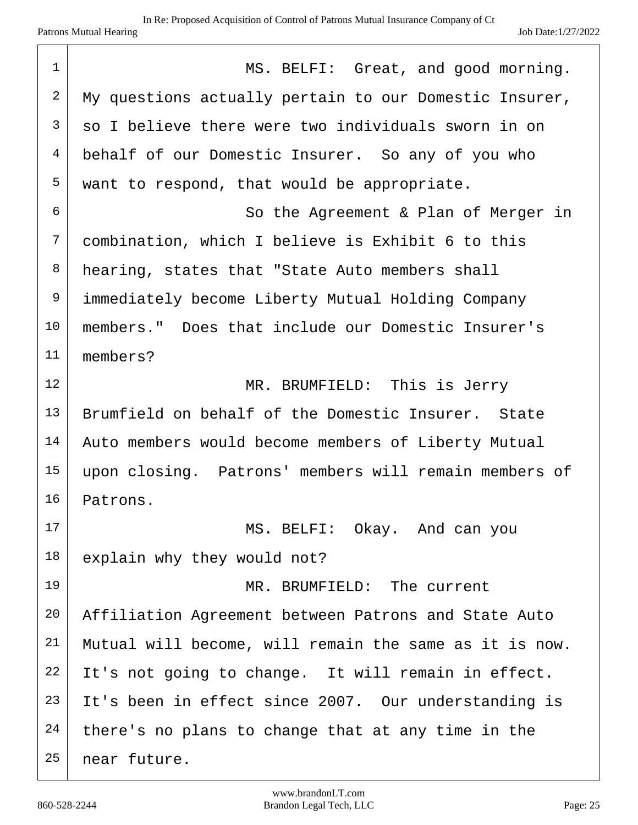| $\mathbf 1$    | MS. BELFI: Great, and good morning.                    |
|----------------|--------------------------------------------------------|
| 2              | My questions actually pertain to our Domestic Insurer, |
| $\mathsf{3}$   | so I believe there were two individuals sworn in on    |
| $\overline{4}$ | behalf of our Domestic Insurer. So any of you who      |
| 5              | want to respond, that would be appropriate.            |
| 6              | So the Agreement & Plan of Merger in                   |
| 7              | combination, which I believe is Exhibit 6 to this      |
| 8              | hearing, states that "State Auto members shall         |
| 9              | immediately become Liberty Mutual Holding Company      |
| 10             | members." Does that include our Domestic Insurer's     |
| 11             | members?                                               |
| 12             | MR. BRUMFIELD: This is Jerry                           |
| 13             | Brumfield on behalf of the Domestic Insurer. State     |
| 14             | Auto members would become members of Liberty Mutual    |
| 15             | upon closing. Patrons' members will remain members of  |
| 16             | Patrons.                                               |
| 17             | MS. BELFI: Okay. And can you                           |
| 18             | explain why they would not?                            |
| 19             | MR. BRUMFIELD: The current                             |
| 20             | Affiliation Agreement between Patrons and State Auto   |
| 21             | Mutual will become, will remain the same as it is now. |
| 22             | It's not going to change. It will remain in effect.    |
| 23             | It's been in effect since 2007. Our understanding is   |
| 24             | there's no plans to change that at any time in the     |
| 25             | near future.                                           |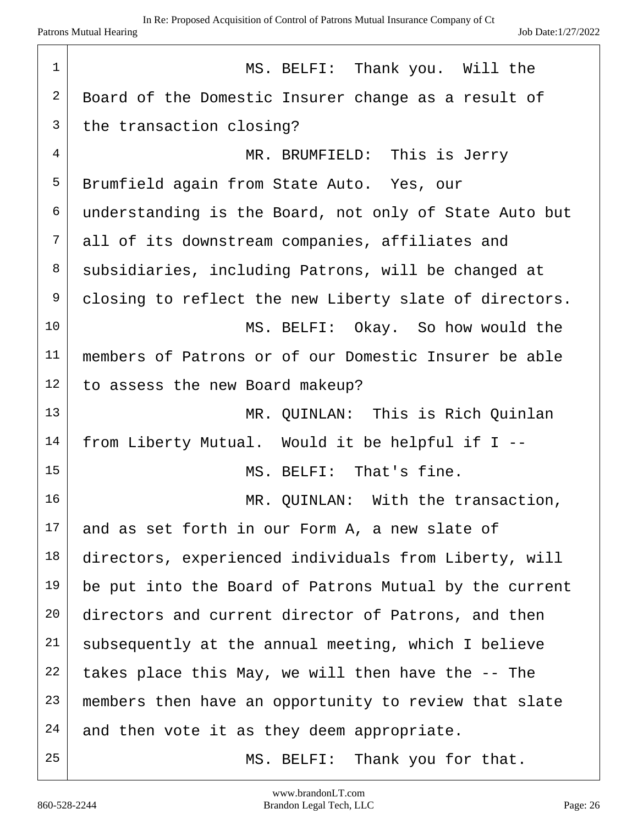| $\mathbf 1$    | MS. BELFI: Thank you. Will the                         |
|----------------|--------------------------------------------------------|
| $\overline{2}$ | Board of the Domestic Insurer change as a result of    |
| $\mathfrak{Z}$ | the transaction closing?                               |
| 4              | MR. BRUMFIELD: This is Jerry                           |
| 5              | Brumfield again from State Auto. Yes, our              |
| 6              | understanding is the Board, not only of State Auto but |
| 7              | all of its downstream companies, affiliates and        |
| 8              | subsidiaries, including Patrons, will be changed at    |
| 9              | closing to reflect the new Liberty slate of directors. |
| 10             | MS. BELFI: Okay. So how would the                      |
| 11             | members of Patrons or of our Domestic Insurer be able  |
| 12             | to assess the new Board makeup?                        |
| 13             | MR. QUINLAN: This is Rich Quinlan                      |
| 14             | from Liberty Mutual. Would it be helpful if I --       |
| 15             | MS. BELFI: That's fine.                                |
| 16             | MR. QUINLAN: With the transaction,                     |
| 17             | and as set forth in our Form A, a new slate of         |
| 18             | directors, experienced individuals from Liberty, will  |
| 19             | be put into the Board of Patrons Mutual by the current |
| 20             | directors and current director of Patrons, and then    |
| 21             | subsequently at the annual meeting, which I believe    |
| 22             | takes place this May, we will then have the -- The     |
| 23             | members then have an opportunity to review that slate  |
| 24             | and then vote it as they deem appropriate.             |
| 25             | MS. BELFI: Thank you for that.                         |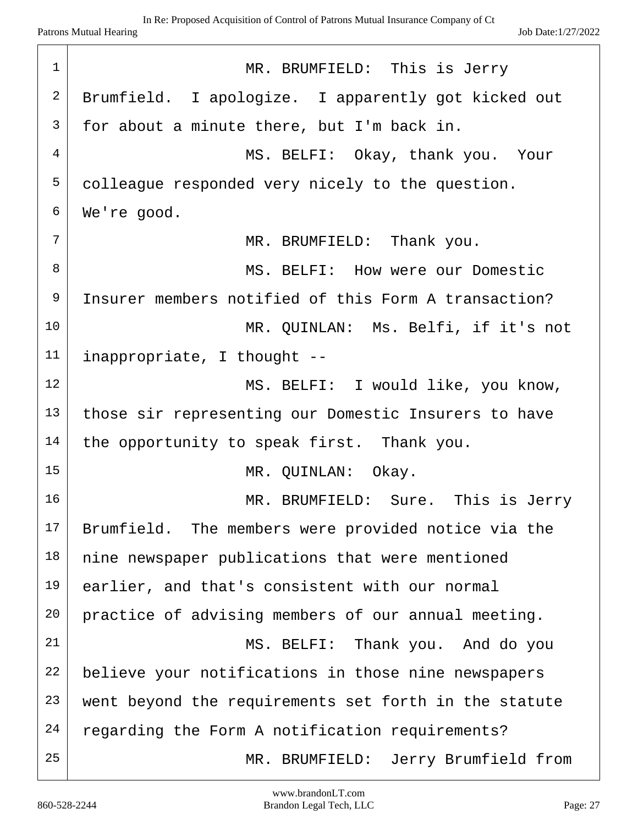| $\mathbf 1$ | MR. BRUMFIELD: This is Jerry                          |
|-------------|-------------------------------------------------------|
| 2           | Brumfield. I apologize. I apparently got kicked out   |
| 3           | for about a minute there, but I'm back in.            |
| 4           | MS. BELFI: Okay, thank you. Your                      |
| 5           | colleague responded very nicely to the question.      |
| 6           | We're good.                                           |
| 7           | MR. BRUMFIELD: Thank you.                             |
| 8           | MS. BELFI: How were our Domestic                      |
| 9           | Insurer members notified of this Form A transaction?  |
| 10          | MR. QUINLAN: Ms. Belfi, if it's not                   |
| 11          | inappropriate, I thought --                           |
| 12          | MS. BELFI: I would like, you know,                    |
| 13          | those sir representing our Domestic Insurers to have  |
| 14          | the opportunity to speak first. Thank you.            |
| 15          | MR. QUINLAN: Okay.                                    |
| 16          | MR. BRUMFIELD: Sure. This is Jerry                    |
| 17          | Brumfield. The members were provided notice via the   |
| 18          | nine newspaper publications that were mentioned       |
| 19          | earlier, and that's consistent with our normal        |
| 20          | practice of advising members of our annual meeting.   |
| 21          | MS. BELFI: Thank you. And do you                      |
| 22          | believe your notifications in those nine newspapers   |
| 23          | went beyond the requirements set forth in the statute |
| 24          | regarding the Form A notification requirements?       |
| 25          | MR. BRUMFIELD: Jerry Brumfield from                   |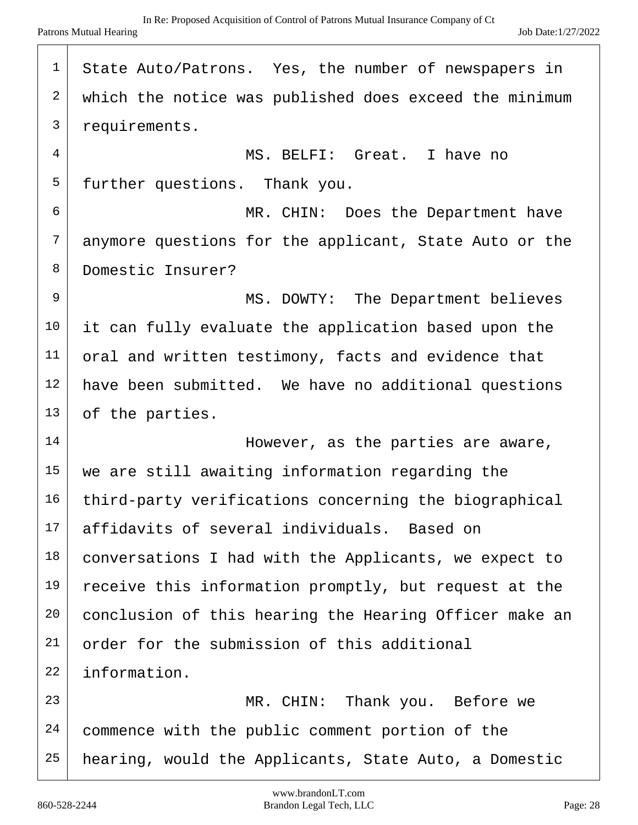| $\mathbf 1$    | State Auto/Patrons. Yes, the number of newspapers in   |
|----------------|--------------------------------------------------------|
| $\overline{c}$ | which the notice was published does exceed the minimum |
| $\mathfrak{Z}$ | requirements.                                          |
| $\overline{4}$ | MS. BELFI: Great. I have no                            |
| 5              | further questions. Thank you.                          |
| 6              | MR. CHIN: Does the Department have                     |
| $\overline{7}$ | anymore questions for the applicant, State Auto or the |
| 8              | Domestic Insurer?                                      |
| 9              | MS. DOWTY: The Department believes                     |
| 10             | it can fully evaluate the application based upon the   |
| 11             | oral and written testimony, facts and evidence that    |
| 12             | have been submitted. We have no additional questions   |
| 13             | of the parties.                                        |
| 14             | However, as the parties are aware,                     |
| 15             | we are still awaiting information regarding the        |
| 16             | third-party verifications concerning the biographical  |
| 17             | affidavits of several individuals. Based on            |
| 18             | conversations I had with the Applicants, we expect to  |
| 19             | receive this information promptly, but request at the  |
| 20             | conclusion of this hearing the Hearing Officer make an |
| 21             | order for the submission of this additional            |
| 22             | information.                                           |
| 23             | MR. CHIN: Thank you. Before we                         |
| 24             | commence with the public comment portion of the        |
| 25             | hearing, would the Applicants, State Auto, a Domestic  |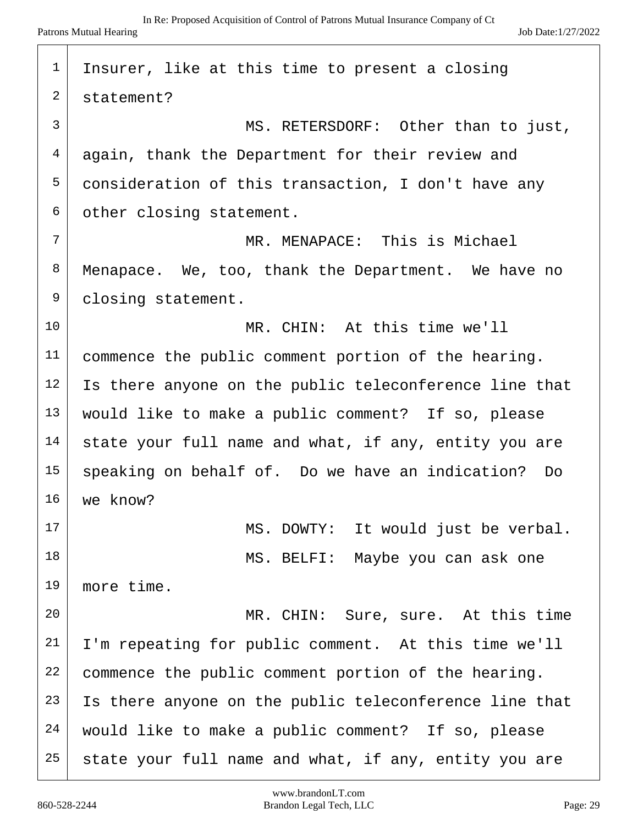| $\mathbf 1$    | Insurer, like at this time to present a closing        |
|----------------|--------------------------------------------------------|
| $\overline{2}$ | statement?                                             |
| $\mathfrak{Z}$ | MS. RETERSDORF: Other than to just,                    |
| 4              | again, thank the Department for their review and       |
| 5              | consideration of this transaction, I don't have any    |
| 6              | other closing statement.                               |
| 7              | MR. MENAPACE: This is Michael                          |
| 8              | Menapace. We, too, thank the Department. We have no    |
| 9              | closing statement.                                     |
| 10             | MR. CHIN: At this time we'll                           |
| 11             | commence the public comment portion of the hearing.    |
| 12             | Is there anyone on the public teleconference line that |
| 13             | would like to make a public comment? If so, please     |
| 14             | state your full name and what, if any, entity you are  |
| 15             | speaking on behalf of. Do we have an indication? Do    |
| 16             | we know?                                               |
| 17             | MS. DOWTY: It would just be verbal.                    |
| 18             | MS. BELFI: Maybe you can ask one                       |
| 19             | more time.                                             |
| 20             | MR. CHIN: Sure, sure. At this time                     |
| 21             | I'm repeating for public comment. At this time we'll   |
| 22             | commence the public comment portion of the hearing.    |
| 23             | Is there anyone on the public teleconference line that |
| 24             | would like to make a public comment? If so, please     |
| 25             | state your full name and what, if any, entity you are  |

 $\sqrt{ }$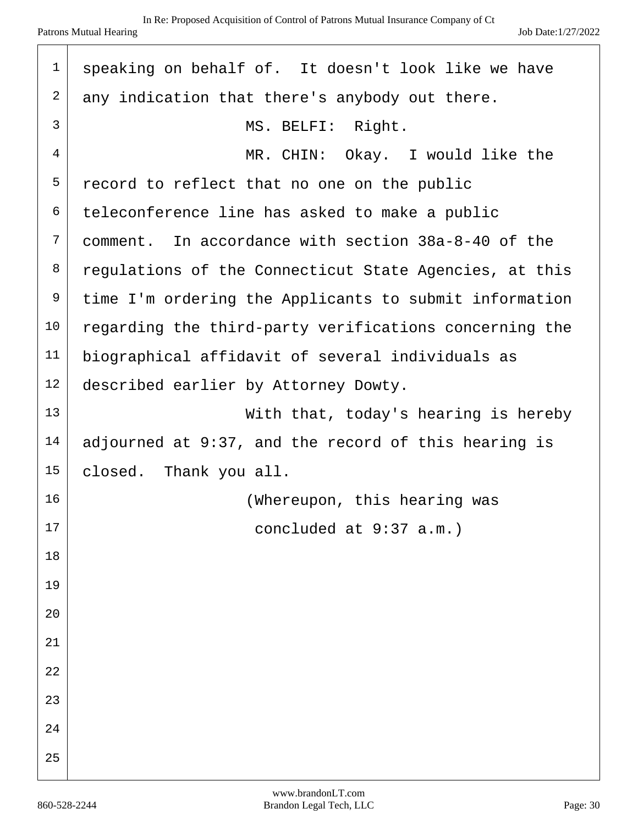| $\mathbf 1$    | speaking on behalf of. It doesn't look like we have    |
|----------------|--------------------------------------------------------|
| $\overline{2}$ | any indication that there's anybody out there.         |
| 3              | MS. BELFI: Right.                                      |
| 4              | MR. CHIN: Okay. I would like the                       |
| 5              | record to reflect that no one on the public            |
| 6              | teleconference line has asked to make a public         |
| 7              | comment. In accordance with section 38a-8-40 of the    |
| 8              | regulations of the Connecticut State Agencies, at this |
| 9              | time I'm ordering the Applicants to submit information |
| 10             | regarding the third-party verifications concerning the |
| 11             | biographical affidavit of several individuals as       |
| 12             | described earlier by Attorney Dowty.                   |
| 13             | With that, today's hearing is hereby                   |
| 14             | adjourned at 9:37, and the record of this hearing is   |
| 15             | closed. Thank you all.                                 |
| 16             | (Whereupon, this hearing was                           |
| 17             | concluded at 9:37 a.m.)                                |
| 18             |                                                        |
| 19             |                                                        |
| 20             |                                                        |
| 21             |                                                        |
| 22             |                                                        |
| 23             |                                                        |
| 24             |                                                        |
| 25             |                                                        |